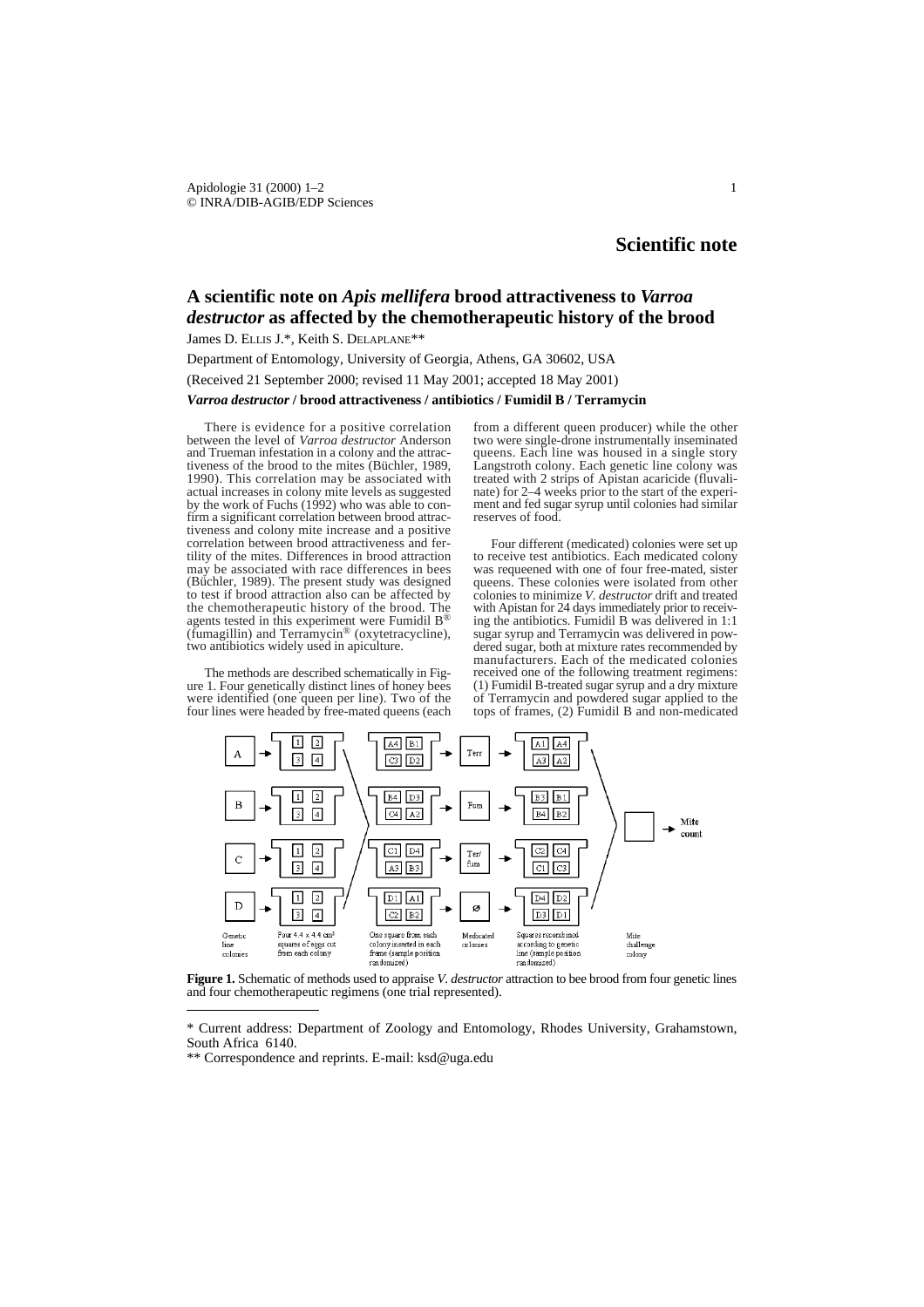## **Scientific note**

## **A scientific note on** *Apis mellifera* **brood attractiveness to** *Varroa destructor* **as affected by the chemotherapeutic history of the brood**

James D. ELLIS J.\*, Keith S. DELAPLANE\*\*

Department of Entomology, University of Georgia, Athens, GA 30602, USA

# (Received 21 September 2000; revised 11 May 2001; accepted 18 May 2001)

### *Varroa destructor* **/ brood attractiveness / antibiotics / Fumidil B / Terramycin**

There is evidence for a positive correlation between the level of *Varroa destructor* Anderson and Trueman infestation in a colony and the attractiveness of the brood to the mites (Büchler, 1989, 1990). This correlation may be associated with actual increases in colony mite levels as suggested by the work of Fuchs  $(1992)$  who was able to confirm a significant correlation between brood attractiveness and colony mite increase and a positive correlation between brood attractiveness and fertility of the mites. Differences in brood attraction may be associated with race differences in bees (Büchler, 1989). The present study was designed to test if brood attraction also can be affected by the chemotherapeutic history of the brood. The agents tested in this experiment were Fumidil B® (fumagillin) and Terramycin® (oxytetracycline), two antibiotics widely used in apiculture.

The methods are described schematically in Figure 1. Four genetically distinct lines of honey bees were identified (one queen per line). Two of the four lines were headed by free-mated queens (each

from a different queen producer) while the other two were single-drone instrumentally inseminated queens. Each line was housed in a single story Langstroth colony. Each genetic line colony was treated with 2 strips of Apistan acaricide (fluvalinate) for 2–4 weeks prior to the start of the experiment and fed sugar syrup until colonies had similar reserves of food.

Four different (medicated) colonies were set up to receive test antibiotics. Each medicated colony was requeened with one of four free-mated, sister queens. These colonies were isolated from other colonies to minimize *V. destructor* drift and treated with Apistan for 24 days immediately prior to receiving the antibiotics. Fumidil B was delivered in 1:1 sugar syrup and Terramycin was delivered in powdered sugar, both at mixture rates recommended by manufacturers. Each of the medicated colonies received one of the following treatment regimens: (1) Fumidil B-treated sugar syrup and a dry mixture of Terramycin and powdered sugar applied to the tops of frames, (2) Fumidil B and non-medicated



**Figure 1.** Schematic of methods used to appraise *V. destructor* attraction to bee brood from four genetic lines and four chemotherapeutic regimens (one trial represented).

<sup>\*</sup> Current address: Department of Zoology and Entomology, Rhodes University, Grahamstown, South Africa 6140.

<sup>\*\*</sup> Correspondence and reprints. E-mail: ksd@uga.edu